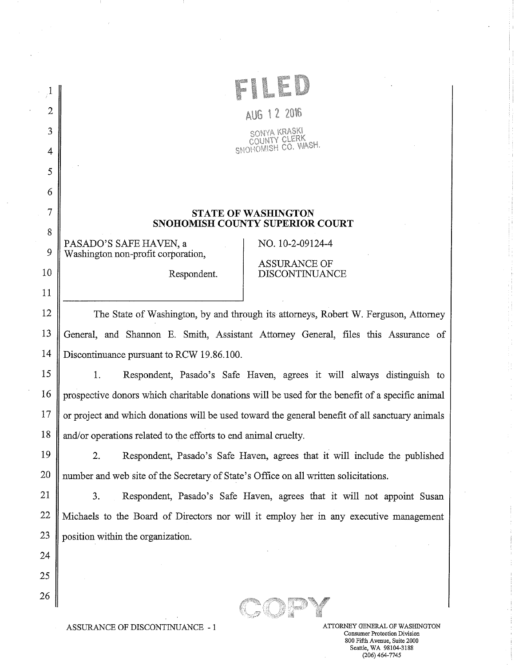| $\mathbf{2}$   | AUG 12 2016                                                                                     |  |  |
|----------------|-------------------------------------------------------------------------------------------------|--|--|
| 3              | SONYA KRASKI                                                                                    |  |  |
| 4              | ai ERK<br>SNOHOMISH CO. WASH.                                                                   |  |  |
| 5              |                                                                                                 |  |  |
| 6              |                                                                                                 |  |  |
| $\overline{7}$ | <b>STATE OF WASHINGTON</b>                                                                      |  |  |
| 8              | <b>SNOHOMISH COUNTY SUPERIOR COURT</b>                                                          |  |  |
| 9              | PASADO'S SAFE HAVEN, a<br>NO. 10-2-09124-4<br>Washington non-profit corporation,                |  |  |
| 10             | <b>ASSURANCE OF</b><br><b>DISCONTINUANCE</b><br>Respondent.                                     |  |  |
| 11             |                                                                                                 |  |  |
| 12             | The State of Washington, by and through its attorneys, Robert W. Ferguson, Attorney             |  |  |
| 13             | General, and Shannon E. Smith, Assistant Attorney General, files this Assurance of              |  |  |
| 14             | Discontinuance pursuant to RCW 19.86.100.                                                       |  |  |
| 15             | 1.<br>Respondent, Pasado's Safe Haven, agrees it will always distinguish to                     |  |  |
| 16             | prospective donors which charitable donations will be used for the benefit of a specific animal |  |  |
| 17             | or project and which donations will be used toward the general benefit of all sanctuary animals |  |  |
| 18             | and/or operations related to the efforts to end animal cruelty.                                 |  |  |
| 19             | Respondent, Pasado's Safe Haven, agrees that it will include the published<br>2.                |  |  |
| 20             | number and web site of the Secretary of State's Office on all written solicitations.            |  |  |
| 21             | 3.<br>Respondent, Pasado's Safe Haven, agrees that it will not appoint Susan                    |  |  |
| 22             | Michaels to the Board of Directors nor will it employ her in any executive management           |  |  |
| 23             | position within the organization.                                                               |  |  |
| 24             |                                                                                                 |  |  |
| 25             |                                                                                                 |  |  |
| 26             |                                                                                                 |  |  |
|                |                                                                                                 |  |  |

ASSURANCE OF DISCONTINUANCE -  $1\,$ 

Consumer Protection Division 800 Fifth Avenue, Suite 2000 Seattle, WA 98104-3188 (206) 464-7745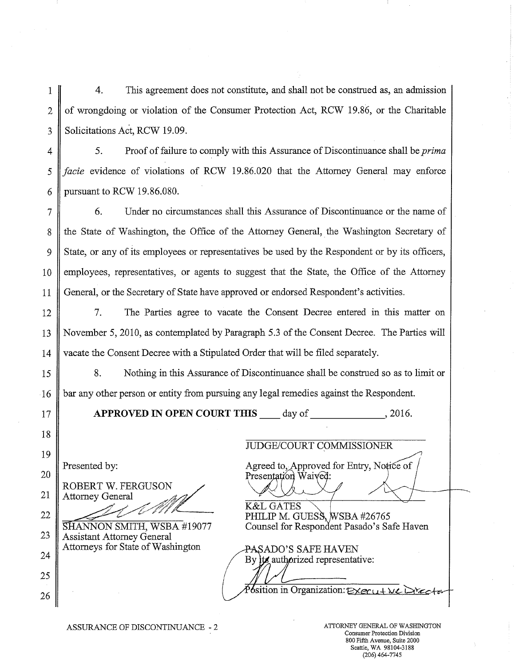4. This agreement does not constitute, and shall not be construed as, an admission of wrongdoing or violation of the Consumer Protection Act, RCW 19.86, or the Charitable Solicitations Act, RCW 19.09. 1 2 3

4

5

6

7

8

9

10

11

12

13

14

15

16

18

19

20

21

22

23

24

25

26

5. Proof of failure to comply with this Assurance of Discontinuance shall be *prima facie* evidence of violations of RCW 19.86.020 that the Attorney General may enforce pursuant to RCW 19.86.080.

6. Under no circumstances shall this Assurance of Discontinuance or the name of the State of Washington, the Office of the Attorney General, the Washington Secretary of State, or any of its employees or representatives be used by the Respondent or by its officers, employees, representatives, or agents to suggest that the State, the Office of the Attorney General, or the Secretary of State have approved or endorsed Respondent's activities.

7. The Parties agree to vacate the Consent Decree entered in this matter on November 5, 2010, as contemplated by Paragraph 5.3 of the Consent Decree. The Parties will vacate the Consent Decree with a Stipulated Order that will be filed separately.

8. Nothing in this Assurance of Discontinuance shall be construed so as to limit or bar any other person or entity from pursuing any legal remedies against the Respondent.

APPROVED IN OPEN COURT THIS day of , 2016.

17

ROBERT W. FERGUSON Attorney General

Assistant Attorney General Attorneys for State of Washington PASADO'S SAFE HAVEN

## JUDGE/COURT COMMISSIONER

Presented by: Agreed to, Approved for Entry, Notice of Presentation Waived:

K&L GATES PHILIP M. GUESS, WSBA #26765 **SHANNON SMITH, WSBA #19077** Counsel for Respondent Pasado's Safe Haven

By its authorized representative:

Position in Organization:  $\epsilon \times \epsilon$   $\alpha + \lambda \epsilon$ .

ASSURANCE OF DISCONTINUANCE - 2 ATTORNEY GENERAL OF WASHINGTON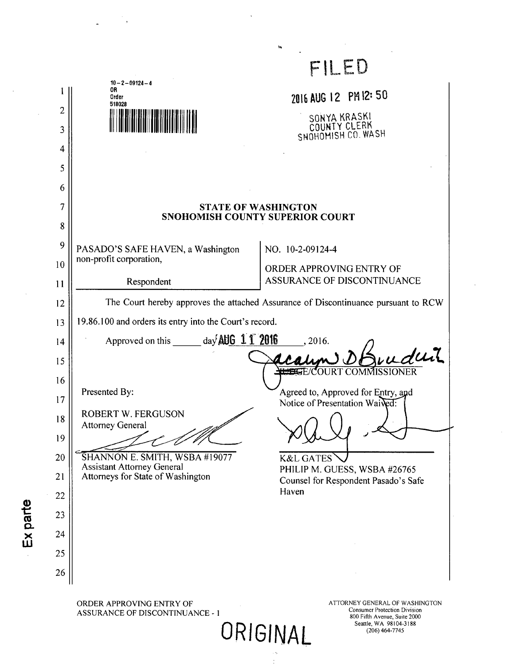|                                                                                                                                                                                                                                       |                                                                                    | FILED                                                                |  |
|---------------------------------------------------------------------------------------------------------------------------------------------------------------------------------------------------------------------------------------|------------------------------------------------------------------------------------|----------------------------------------------------------------------|--|
|                                                                                                                                                                                                                                       | $10 - 2 - 09124 - 4$<br>0R<br>Order<br>518028                                      | 2016 AUG 12 PM 12: 50                                                |  |
| $\overline{2}$                                                                                                                                                                                                                        |                                                                                    | SONYA KRASKI                                                         |  |
| 3                                                                                                                                                                                                                                     |                                                                                    | COUNTY CLERK<br>SNOHOMISH CO. WASH                                   |  |
| 4                                                                                                                                                                                                                                     |                                                                                    |                                                                      |  |
| 5<br>6                                                                                                                                                                                                                                |                                                                                    |                                                                      |  |
| 7                                                                                                                                                                                                                                     | <b>STATE OF WASHINGTON</b><br>SNOHOMISH COUNTY SUPERIOR COURT                      |                                                                      |  |
| 8                                                                                                                                                                                                                                     |                                                                                    |                                                                      |  |
| 9                                                                                                                                                                                                                                     | PASADO'S SAFE HAVEN, a Washington                                                  | NO. 10-2-09124-4                                                     |  |
| 10                                                                                                                                                                                                                                    | non-profit corporation,                                                            | ORDER APPROVING ENTRY OF                                             |  |
| 11                                                                                                                                                                                                                                    | Respondent                                                                         | ASSURANCE OF DISCONTINUANCE                                          |  |
| 12                                                                                                                                                                                                                                    | The Court hereby approves the attached Assurance of Discontinuance pursuant to RCW |                                                                      |  |
| 13                                                                                                                                                                                                                                    | 19.86.100 and orders its entry into the Court's record.                            |                                                                      |  |
| 14                                                                                                                                                                                                                                    | Approved on this $\qquad \qquad$ day AUG 11 2016<br>2016.<br>wuduit                |                                                                      |  |
| 15<br>16                                                                                                                                                                                                                              |                                                                                    |                                                                      |  |
| 17                                                                                                                                                                                                                                    | Presented By:                                                                      | Agreed to, Approved for Entry, and<br>Notice of Presentation Waived: |  |
| 18                                                                                                                                                                                                                                    | <b>ROBERT W. FERGUSON</b><br><b>Attorney General</b>                               |                                                                      |  |
| 19                                                                                                                                                                                                                                    |                                                                                    |                                                                      |  |
| 20                                                                                                                                                                                                                                    | SHANNON E. SMITH, WSBA #19077<br><b>Assistant Attorney General</b>                 | <b>K&amp;L GATES</b>                                                 |  |
| 21                                                                                                                                                                                                                                    | Attorneys for State of Washington                                                  | PHILIP M. GUESS, WSBA #26765<br>Counsel for Respondent Pasado's Safe |  |
| 22                                                                                                                                                                                                                                    |                                                                                    | Haven                                                                |  |
| 23                                                                                                                                                                                                                                    |                                                                                    |                                                                      |  |
| 24                                                                                                                                                                                                                                    |                                                                                    |                                                                      |  |
| 25<br>26                                                                                                                                                                                                                              |                                                                                    |                                                                      |  |
|                                                                                                                                                                                                                                       |                                                                                    |                                                                      |  |
| ORDER APPROVING ENTRY OF<br>ATTORNEY GENERAL OF WASHINGTON<br><b>Consumer Protection Division</b><br><b>ASSURANCE OF DISCONTINUANCE - 1</b><br>800 Fifth Avenue, Suite 2000<br>Seattle, WA 98104-3188<br>ORIGINAL<br>$(206)$ 464-7745 |                                                                                    |                                                                      |  |

 $\hat{\boldsymbol{\beta}}$ 

 $\frac{1}{2}$ 

 $\mathcal{H}_{\text{max}}$  .

 $\mathbb{R}^2$ 

 $\frac{1}{\sqrt{2\pi}}\int_{0}^{\frac{1}{2}}\frac{1}{\sqrt{2\pi}}\left( \frac{1}{2\pi}\right) \left( \frac{1}{2\pi}\right) \frac{1}{2\pi} \int_{0}^{\frac{1}{2}}\frac{1}{\sqrt{2\pi}}\left( \frac{1}{2\pi}\right) \frac{1}{2\pi} \int_{0}^{\frac{1}{2}}\frac{1}{\sqrt{2\pi}}\left( \frac{1}{2\pi}\right) \frac{1}{2\pi} \int_{0}^{\frac{1}{2}}\frac{1}{\sqrt{2\pi}}\left( \frac{1}{2\pi}\right) \frac{1}{2\pi} \int$ 

 $\ddot{\phantom{a}}$ 

Ex parte

 $\frac{1}{2}$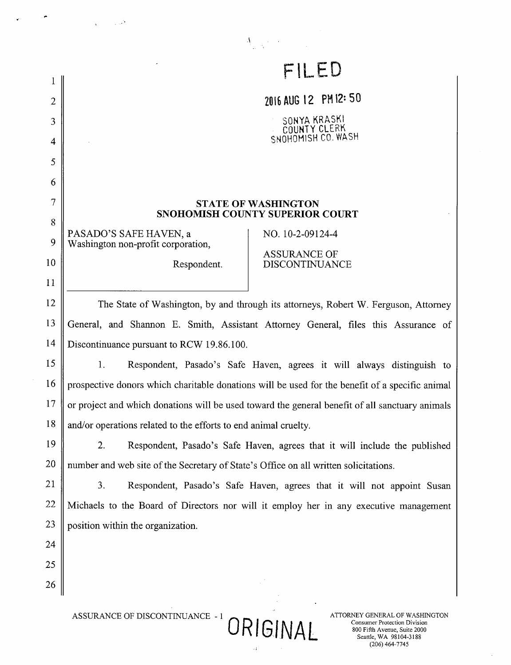| 1                                                                                                                                                                              | FILED                                                                                           |                                                                                       |  |
|--------------------------------------------------------------------------------------------------------------------------------------------------------------------------------|-------------------------------------------------------------------------------------------------|---------------------------------------------------------------------------------------|--|
| 2                                                                                                                                                                              | 2016 AUG 12 PM 12:50                                                                            |                                                                                       |  |
| 3                                                                                                                                                                              | SONYA KRASKI                                                                                    |                                                                                       |  |
| 4                                                                                                                                                                              | COUNTY CLERK<br>SNOHOMISH CO. WASH                                                              |                                                                                       |  |
| 5                                                                                                                                                                              |                                                                                                 |                                                                                       |  |
| 6                                                                                                                                                                              |                                                                                                 |                                                                                       |  |
| 7                                                                                                                                                                              | <b>STATE OF WASHINGTON</b>                                                                      |                                                                                       |  |
| 8                                                                                                                                                                              |                                                                                                 | SNOHOMISH COUNTY SUPERIOR COURT                                                       |  |
| 9                                                                                                                                                                              | PASADO'S SAFE HAVEN, a<br>Washington non-profit corporation,                                    | NO. 10-2-09124-4                                                                      |  |
| 10                                                                                                                                                                             | Respondent.                                                                                     | <b>ASSURANCE OF</b><br><b>DISCONTINUANCE</b>                                          |  |
| 11                                                                                                                                                                             |                                                                                                 |                                                                                       |  |
| 12                                                                                                                                                                             | The State of Washington, by and through its attorneys, Robert W. Ferguson, Attorney             |                                                                                       |  |
| 13                                                                                                                                                                             | General, and Shannon E. Smith, Assistant Attorney General, files this Assurance of              |                                                                                       |  |
| 14                                                                                                                                                                             | Discontinuance pursuant to RCW 19.86.100.                                                       |                                                                                       |  |
| 15                                                                                                                                                                             | 1.<br>Respondent, Pasado's Safe Haven, agrees it will always distinguish to                     |                                                                                       |  |
| 16                                                                                                                                                                             | prospective donors which charitable donations will be used for the benefit of a specific animal |                                                                                       |  |
| 17                                                                                                                                                                             | or project and which donations will be used toward the general benefit of all sanctuary animals |                                                                                       |  |
| 18                                                                                                                                                                             | and/or operations related to the efforts to end animal cruelty.                                 |                                                                                       |  |
| 19                                                                                                                                                                             | 2.                                                                                              | Respondent, Pasado's Safe Haven, agrees that it will include the published            |  |
| 20                                                                                                                                                                             | number and web site of the Secretary of State's Office on all written solicitations.            |                                                                                       |  |
| 21                                                                                                                                                                             | 3.<br>Respondent, Pasado's Safe Haven, agrees that it will not appoint Susan                    |                                                                                       |  |
| 22                                                                                                                                                                             |                                                                                                 | Michaels to the Board of Directors nor will it employ her in any executive management |  |
| 23                                                                                                                                                                             | position within the organization.                                                               |                                                                                       |  |
| 24                                                                                                                                                                             |                                                                                                 |                                                                                       |  |
| 25                                                                                                                                                                             |                                                                                                 |                                                                                       |  |
| 26                                                                                                                                                                             |                                                                                                 |                                                                                       |  |
| ASSURANCE OF DISCONTINUANCE - 1<br>ATTORNEY GENERAL OF WASHINGTON<br>ORIGINAL<br><b>Consumer Protection Division</b><br>800 Fifth Avenue, Suite 2000<br>Seattle, WA 98104-3188 |                                                                                                 |                                                                                       |  |

 $\bar{z}$ 

 $\tilde{A}$  , where  $\tilde{A}$ 

, p

 $\bar{z}$ 

 $\sim$ 

EVET GENERAL OF WASHING<br>Consumer Protection Division<br>800 Fifth Avenue, Suite 2000<br>Seattle, WA 98104-3188<br>(206) 464-7745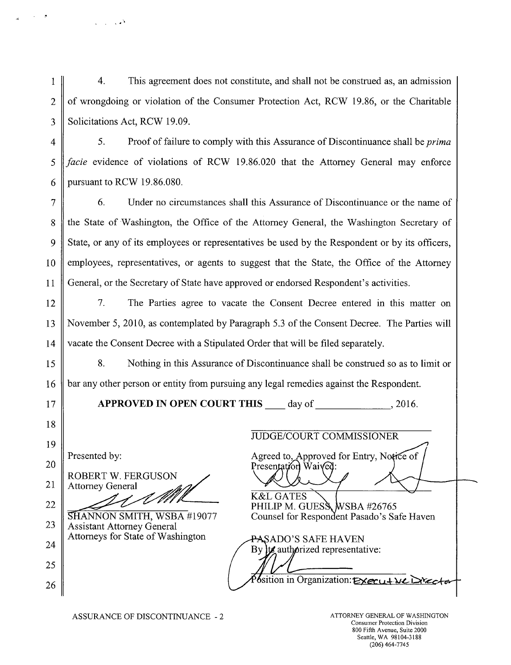$\overline{4}$ .  $\mathbf{1}$ This agreement does not constitute, and shall not be construed as, an admission  $\overline{2}$ of wrongdoing or violation of the Consumer Protection Act, RCW 19.86, or the Charitable 3 Solicitations Act, RCW 19.09.

 $\mathcal{L}$ Proof of failure to comply with this Assurance of Discontinuance shall be *prima*  $\overline{4}$ facie evidence of violations of RCW 19.86.020 that the Attorney General may enforce 5 pursuant to RCW 19.86.080. 6

 $\overline{7}$ 6. Under no circumstances shall this Assurance of Discontinuance or the name of the State of Washington, the Office of the Attorney General, the Washington Secretary of 8 State, or any of its employees or representatives be used by the Respondent or by its officers, 9 employees, representatives, or agents to suggest that the State, the Office of the Attorney 10 General, or the Secretary of State have approved or endorsed Respondent's activities. 11

12 7. The Parties agree to vacate the Consent Decree entered in this matter on November 5, 2010, as contemplated by Paragraph 5.3 of the Consent Decree. The Parties will 13 14 vacate the Consent Decree with a Stipulated Order that will be filed separately.

8. Nothing in this Assurance of Discontinuance shall be construed so as to limit or 15 bar any other person or entity from pursuing any legal remedies against the Respondent. 16

APPROVED IN OPEN COURT THIS day of .2016.

Presented by:

 $17$ 

18

19

20

21

22

23

24

25

26

**ROBERT W. FERGUSON Attorney General** 

 $\sim$   $\sim$ 

SHANNON SMITH, WSBA #19077 **Assistant Attorney General** Attorneys for State of Washington

Presentation Waived: **K&L GATES** PHILIP M. GUESS WSBA #26765 Counsel for Respondent Pasado's Safe Haven

**JUDGE/COURT COMMISSIONER** 

Agreed to, Approved for Entry, Notice of

<del>PA</del>SADO'S SAFE HAVEN By its authorized representative:  $\delta$ sition in Organization: Executive Drector

ASSURANCE OF DISCONTINUANCE - 2

ATTORNEY GENERAL OF WASHINGTON **Consumer Protection Division** 800 Fifth Avenue, Suite 2000 Seattle, WA 98104-3188  $(206) 464 - 7745$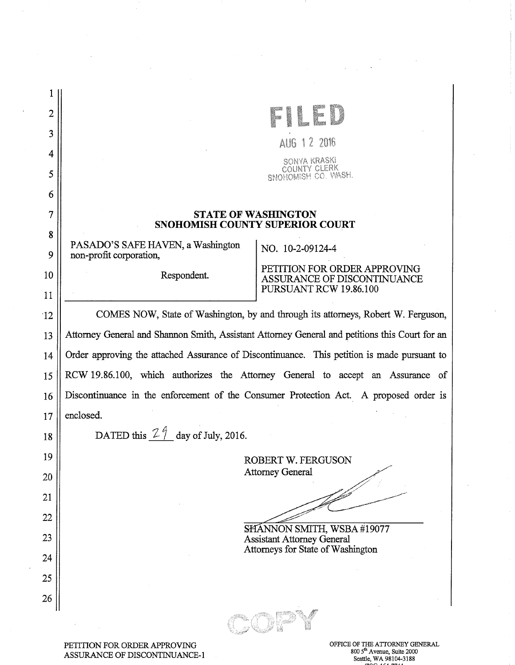| $\overline{2}$ |                                                                                                |                                                                 |  |
|----------------|------------------------------------------------------------------------------------------------|-----------------------------------------------------------------|--|
| 3              | AUG 1 2 2016                                                                                   |                                                                 |  |
| 4              | SONYA KRASKI                                                                                   |                                                                 |  |
| 5              |                                                                                                | NTY GLERK<br>SNOHOMISH CO. WASH.                                |  |
| 6              |                                                                                                |                                                                 |  |
| 7              | <b>STATE OF WASHINGTON</b><br>SNOHOMISH COUNTY SUPERIOR COURT                                  |                                                                 |  |
| 8              | PASADO'S SAFE HAVEN, a Washington                                                              | NO. 10-2-09124-4                                                |  |
| 9              | non-profit corporation,                                                                        | PETITION FOR ORDER APPROVING                                    |  |
| 10             | Respondent.                                                                                    | ASSURANCE OF DISCONTINUANCE<br>PURSUANT RCW 19.86.100           |  |
| 11<br>12       | COMES NOW, State of Washington, by and through its attorneys, Robert W. Ferguson,              |                                                                 |  |
| 13             | Attorney General and Shannon Smith, Assistant Attorney General and petitions this Court for an |                                                                 |  |
| 14             | Order approving the attached Assurance of Discontinuance. This petition is made pursuant to    |                                                                 |  |
| 15             | RCW 19.86.100, which authorizes the Attorney General to accept an Assurance of                 |                                                                 |  |
| 16             | Discontinuance in the enforcement of the Consumer Protection Act. A proposed order is          |                                                                 |  |
| 17             | enclosed.                                                                                      |                                                                 |  |
| 18             | DATED this $2\frac{9}{7}$ day of July, 2016.                                                   |                                                                 |  |
| 19             |                                                                                                |                                                                 |  |
| 20             |                                                                                                | ROBERT W. FERGUSON<br><b>Attorney General</b>                   |  |
| 21             |                                                                                                |                                                                 |  |
| 22             |                                                                                                |                                                                 |  |
| 23             |                                                                                                | SHANNON SMITH, WSBA #19077<br><b>Assistant Attorney General</b> |  |
| 24             |                                                                                                | Attorneys for State of Washington                               |  |
| 25             |                                                                                                |                                                                 |  |
| 26             |                                                                                                |                                                                 |  |
|                |                                                                                                |                                                                 |  |
|                |                                                                                                |                                                                 |  |

 $\sim$   $\sim$ 

 $\sim$ 

PETITION FOR ORDER APPROVING ASSURANCE OF DISCONTINUANCE-1 OFFICE OF THE ATTORNEY GENERAL 800 5'" Avenue, Suite 2000 Seattle, WA 98104-3188

 $\label{eq:2.1} \frac{d\mathbf{r}}{dt} = \frac{1}{2} \left( \frac{d\mathbf{r}}{dt} + \frac{d\mathbf{r}}{dt} \right)$ 

 $\label{eq:2.1} \mathcal{L}_{\text{max}}(\mathcal{L}_{\text{max}}) = \mathcal{L}_{\text{max}}(\mathcal{L}_{\text{max}}) \cdot \mathbf{S}^2$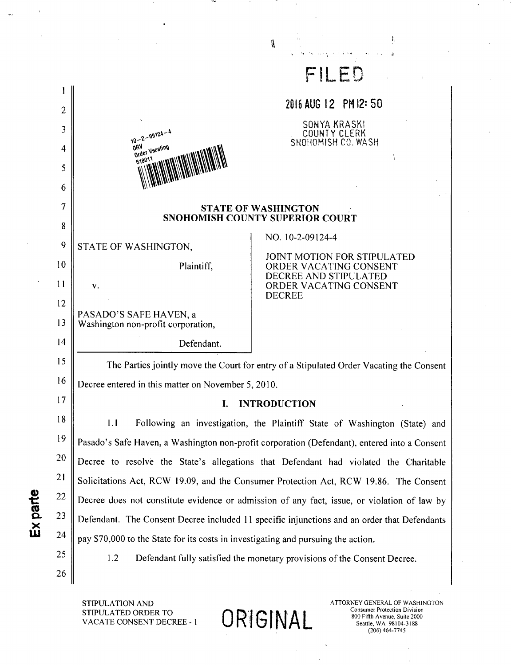|                |                                                                                              | FILED                                                                     |  |
|----------------|----------------------------------------------------------------------------------------------|---------------------------------------------------------------------------|--|
|                |                                                                                              | 2016 AUG 12 PM 12: 50                                                     |  |
| $\overline{c}$ |                                                                                              | SONYA KRASKI                                                              |  |
| 3              | $10 - 2 - 09124 - 4$<br><b>ORV</b>                                                           | COUNTY CLERK<br>SNOHOMISH CO. WASH                                        |  |
| 4              | Order Vacating<br>518011                                                                     |                                                                           |  |
| 5<br>6         |                                                                                              |                                                                           |  |
| 7              |                                                                                              |                                                                           |  |
| 8              | <b>STATE OF WASHINGTON</b><br><b>SNOHOMISH COUNTY SUPERIOR COURT</b>                         |                                                                           |  |
| 9              | STATE OF WASHINGTON,                                                                         | NO. 10-2-09124-4                                                          |  |
| 10             | Plaintiff,                                                                                   | JOINT MOTION FOR STIPULATED<br>ORDER VACATING CONSENT                     |  |
| 11             | v.                                                                                           | DECREE AND STIPULATED<br>ORDER VACATING CONSENT                           |  |
| 12             |                                                                                              | <b>DECREE</b>                                                             |  |
| 13             | PASADO'S SAFE HAVEN, a<br>Washington non-profit corporation,                                 |                                                                           |  |
| 14             | Defendant.                                                                                   |                                                                           |  |
| 15             | The Parties jointly move the Court for entry of a Stipulated Order Vacating the Consent      |                                                                           |  |
| 16             | Decree entered in this matter on November 5, 2010.                                           |                                                                           |  |
| 17             | <b>INTRODUCTION</b><br>I.                                                                    |                                                                           |  |
| 18             | 1.1                                                                                          | Following an investigation, the Plaintiff State of Washington (State) and |  |
| 19             | Pasado's Safe Haven, a Washington non-profit corporation (Defendant), entered into a Consent |                                                                           |  |
| 20             | Decree to resolve the State's allegations that Defendant had violated the Charitable         |                                                                           |  |
| 21             | Solicitations Act, RCW 19.09, and the Consumer Protection Act, RCW 19.86. The Consent        |                                                                           |  |
| 22             | Decree does not constitute evidence or admission of any fact, issue, or violation of law by  |                                                                           |  |
| 23             | Defendant. The Consent Decree included 11 specific injunctions and an order that Defendants  |                                                                           |  |
| 24             | pay \$70,000 to the State for its costs in investigating and pursuing the action.            |                                                                           |  |
| 25             | 1.2<br>Defendant fully satisfied the monetary provisions of the Consent Decree.              |                                                                           |  |
| 26             |                                                                                              |                                                                           |  |
|                |                                                                                              |                                                                           |  |

ORIGINAL

 $\frac{\sqrt{3}}{2}$ 

STIPULATION AND STIPULATED ORDER TO VACATE CONSENT DECREE - 1

 $\alpha$ 

Ex parte

ATTORNEY GENERAL OF WASHINGTON From Protection Division<br>800 Fifth Avenue, Suite 2000<br>Seattle, WA 98104-3188<br>(206) 464-7745

 $\mathbf{I}_t$ 

 $\hat{\alpha}$  $\hat{\mathcal{L}}$  ,  $\omega_{\rm c}$ 

 $\bar{z}$ 

 $\delta\mathbf{y}$  ,  $\delta\mathbf{x}$  , and  $\delta\mathbf{x}$  ,  $\delta\mathbf{y}$  ,  $\delta\mathbf{y}$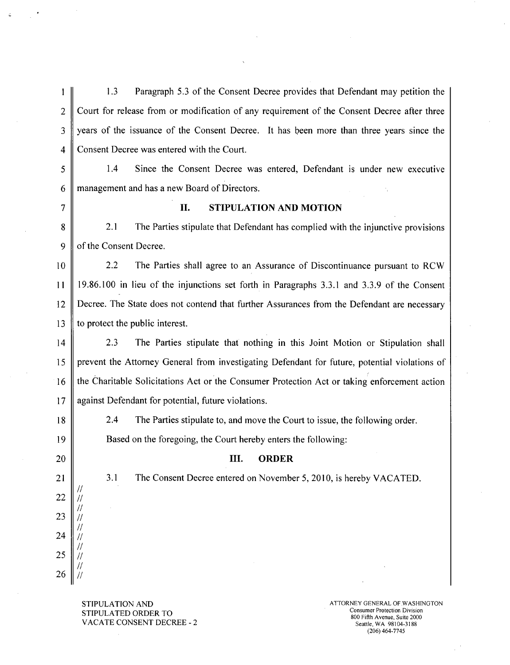$1.3$ Paragraph 5.3 of the Consent Decree provides that Defendant may petition the  $\mathbf{1}$  $\overline{2}$ Court for release from or modification of any requirement of the Consent Decree after three  $\overline{3}$ years of the issuance of the Consent Decree. It has been more than three years since the  $\overline{4}$ Consent Decree was entered with the Court.

5  $1.4$ Since the Consent Decree was entered, Defendant is under new executive 6 management and has a new Board of Directors.

 $\overline{7}$ 

## **STIPULATION AND MOTION II.**

 $2.1$  $\mathbf{8}$ The Parties stipulate that Defendant has complied with the injunctive provisions  $\mathbf Q$ of the Consent Decree.

 $2.2$  $10$ The Parties shall agree to an Assurance of Discontinuance pursuant to RCW  $11$ 19.86.100 in lieu of the injunctions set forth in Paragraphs 3.3.1 and 3.3.9 of the Consent Decree. The State does not contend that further Assurances from the Defendant are necessary 12 to protect the public interest. 13

 $2.3$ The Parties stipulate that nothing in this Joint Motion or Stipulation shall  $14$ prevent the Attorney General from investigating Defendant for future, potential violations of 15 the Charitable Solicitations Act or the Consumer Protection Act or taking enforcement action 16  $17$ against Defendant for potential, future violations.

22

23

24

25

26

 $^{\prime\prime}$ 

 $\mu$ 

 $\prime$ 

2.4 The Parties stipulate to, and move the Court to issue, the following order. Based on the foregoing, the Court hereby enters the following:

## III. **ORDER**

The Consent Decree entered on November 5, 2010, is hereby VACATED.

**STIPULATION AND** STIPULATED ORDER TO **VACATE CONSENT DECREE - 2** 

 $3.1$ 

ATTORNEY GENERAL OF WASHINGTON **Consumer Protection Division** 800 Fifth Avenue, Suite 2000 Seattle, WA 98104-3188  $(206)$  464-7745